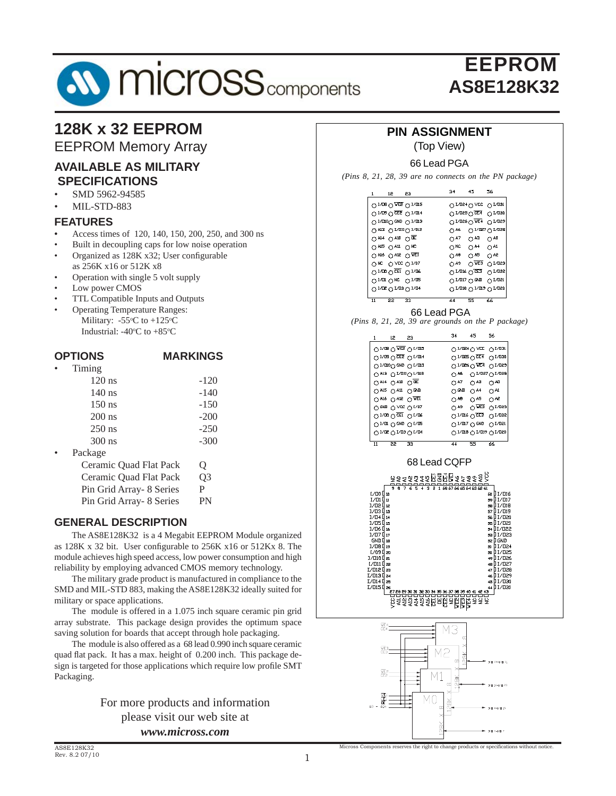# **SV MICrOSS** components

## EEPROM **AS8E128K32**

## **128K x 32 EEPROM**

EEPROM Memory Array

#### **AVAILABLE AS MILITARY SPECIFICATIONS**

- SMD 5962-94585
- MIL-STD-883

#### **FEATURES**

- *•* Access times of 120, 140, 150, 200, 250, and 300 ns
- Built in decoupling caps for low noise operation Organized as 128K x32; User configurable as 256K x16 or 512K x8
- Operation with single 5 volt supply
- Low power CMOS
- TTL Compatible Inputs and Outputs
- Operating Temperature Ranges: Military:  $-55^{\circ}$ C to  $+125^{\circ}$ C Industrial:  $-40^{\circ}$ C to  $+85^{\circ}$ C

#### **OPTIONS MARKINGS**

| $\bullet$ | Timing               |        |
|-----------|----------------------|--------|
|           | $120$ ns             | $-120$ |
|           | $140$ ns             | $-140$ |
|           | $150$ ns             | $-150$ |
|           | $200$ ns             | $-200$ |
|           | $250$ ns             | $-250$ |
|           | $300$ ns             | $-300$ |
|           | $\mathbf{D}$ oolsooo |        |

Package

| Ceramic Ouad Flat Pack    | Ő              |
|---------------------------|----------------|
| Ceramic Ouad Flat Pack    | O <sub>3</sub> |
| Pin Grid Array - 8 Series | P              |
| Pin Grid Array- 8 Series  | PN             |

#### **GENERAL DESCRIPTION**

The AS8E128K32 is a 4 Megabit EEPROM Module organized as 128K x 32 bit. User configurable to 256K x16 or 512Kx 8. The module achieves high speed access, low power consumption and high reliability by employing advanced CMOS memory technology.

 The military grade product is manufactured in compliance to the SMD and MIL-STD 883, making the AS8E128K32 ideally suited for military or space applications.

 The module is offered in a 1.075 inch square ceramic pin grid array substrate. This package design provides the optimum space saving solution for boards that accept through hole packaging.

 The module is also offered as a 68 lead 0.990 inch square ceramic quad flat pack. It has a max. height of 0.200 inch. This package design is targeted for those applications which require low profile SMT Packaging.

> For more products and information please visit our web site at *www.micross.com*

#### **PIN ASSIGNMENT**

(Top View)

#### 66 Lead PGA

*(Pins 8, 21, 28, 39 are no connects on the PN package)*

| 1                     | 12        |                               | -23                                                                                         | 34                                 | 45                                                 | 56                             |  |
|-----------------------|-----------|-------------------------------|---------------------------------------------------------------------------------------------|------------------------------------|----------------------------------------------------|--------------------------------|--|
|                       |           |                               | $\bigcirc$ INDB $\bigcirc$ MES $\bigcirc$ IND15                                             |                                    | ○ I/B24 ○ VCC ○ I/B31                              |                                |  |
|                       |           |                               | O INDIO DEE O INDIA                                                                         |                                    | $\circ$ IND25 $\circ$ CE4                          | O <sub>1</sub> /030            |  |
|                       |           |                               | ○ 1/010 GND ○ 1/013                                                                         |                                    | $O$ INDSE $O$ ME4 $O$ INDS9                        |                                |  |
|                       |           |                               | ○ A13 ○ I/B11○ I/012                                                                        | O <sub>46</sub>                    |                                                    | ○ INBS1 ○ INBS8                |  |
|                       |           |                               |                                                                                             |                                    |                                                    |                                |  |
|                       |           | $OAI4 OAI0 OIE$               |                                                                                             | O <sup>47</sup>                    | $\bigcirc$ A3                                      | $O^{A0}$                       |  |
|                       |           | $\bigcirc$ A15 $\bigcirc$ A11 | O <sub>NC</sub>                                                                             | $\bigcirc$ NC                      | $O^{AA}$                                           | $\bigcirc$ A1                  |  |
|                       |           |                               | $O$ A16 $O$ A12 $O$ WET                                                                     | $\bigcirc$ A8                      | $O^{45}$                                           | $O^{A2}$                       |  |
| $\bigcirc$ NC         |           |                               | O ACC O IN01                                                                                | $O^{49}$                           | $\overline{O}$ WE3                                 | $O1$ usa                       |  |
|                       |           |                               |                                                                                             | $O$ IND16 $O$ CE3                  |                                                    | $O1$ uss                       |  |
|                       |           | $O1$ ur $ONC$                 | O <sup>1/15</sup>                                                                           | O <sub>IVIII</sub> O <sub>CD</sub> |                                                    | $OI$ usi                       |  |
|                       |           |                               | $O1$ us $O1$ us $O1$ ua                                                                     |                                    | $\bigcirc$ INDI8 $\bigcirc$ INDI9 $\bigcirc$ INDS0 |                                |  |
| $\overline{11}$       |           | $\overline{22}$               | $\overline{33}$                                                                             | 44                                 | $\overline{55}$                                    | 66                             |  |
|                       |           |                               |                                                                                             |                                    |                                                    |                                |  |
|                       |           |                               | 66 Lead PGA                                                                                 |                                    |                                                    |                                |  |
|                       |           |                               | (Pins 8, 21, 28, 39 are grounds on the P package)                                           |                                    |                                                    |                                |  |
|                       |           | 12 23                         |                                                                                             | 34                                 | 45                                                 | 56                             |  |
|                       |           |                               |                                                                                             |                                    |                                                    |                                |  |
|                       |           |                               | $O1$ us $O2$ kes $O1$ uiz                                                                   |                                    | $\bigcirc$ INB4 $\bigcirc$ ACC                     | $O1$ $1/131$                   |  |
|                       |           |                               | O INDA O CES O INDIA                                                                        |                                    | $\circ$ I/025 $\circ$ CE4                          | $O1$ u30                       |  |
|                       |           |                               | $O1$ (DIO $O1$ CND $O1$ /DI3                                                                |                                    | $\circ$ in the $\circ$ wears                       | $O1$ usa                       |  |
|                       |           |                               | O 413 O INDIIO INDI2                                                                        | O <sub>46</sub>                    |                                                    | $O$ INDS2 $O$ INDS8            |  |
|                       |           |                               | $OA14 OA10 ODE$                                                                             | O <sup>47</sup>                    | $O^{A3}$                                           | $O^{A0}$                       |  |
|                       |           |                               | $OAI5 OAI1 OGND$                                                                            | $\bigcirc$ GND                     | $O^{A4}$                                           | $\bigcirc$ Al                  |  |
|                       |           |                               | $O$ A16 $O$ A12 $O$ WE1                                                                     | $\bigcirc$ A8                      | $\bigcirc$ A <sub>5</sub>                          | $\bigcirc$ A2                  |  |
|                       |           |                               | O GND O VCC O IV07                                                                          | $O^{A9}$                           | $\overline{\bigcirc}$ we 3                         | $O1$ uss                       |  |
|                       |           |                               | $O_{I\setminus I\setminus I\setminus I}O_{I\setminus I\setminus I}$                         |                                    | O <sub>IVIII6</sub> O <sub>CE3</sub>               | $O1$ uss                       |  |
|                       |           |                               | $OIV$ or $OIV$ or $OIV$ or $OIV$                                                            |                                    | O <sub>IVIII3</sub> O <sub>CMD</sub>               | $O1$ usi                       |  |
|                       |           |                               | O INDS O IND3 O IND4                                                                        |                                    |                                                    | O I\DI8 O I\DI9 O I\DS0        |  |
| $\overline{11}$       |           | $\overline{22}$               | $\overline{33}$                                                                             | 44                                 | $\overline{55}$                                    | 66                             |  |
|                       |           |                               |                                                                                             |                                    |                                                    |                                |  |
|                       |           |                               | 68 Lead CQFP                                                                                |                                    |                                                    |                                |  |
|                       |           |                               |                                                                                             |                                    |                                                    |                                |  |
|                       |           |                               | <u>ล้น้ำเรื่องสัตตุการต่องสัตว์</u><br>สรรสรรธที่ดีอิตการต้องสั<br>สรรสรรธที่ดีอิตที่สรรธรร |                                    |                                                    |                                |  |
|                       |           |                               |                                                                                             |                                    |                                                    |                                |  |
| I ∕ 00 ∐<br>ם נם ⁄ ד  | 10<br>11  |                               |                                                                                             |                                    |                                                    | ] 1/016<br>60<br>59 I I / 017  |  |
| 1∕02 0 12             |           |                               |                                                                                             |                                    |                                                    | 58 J I/D18                     |  |
| 1∕03 0 13<br>1⁄04 014 |           |                               |                                                                                             |                                    |                                                    | 57 I I/019<br>56 1 1/020       |  |
| 1/05 O                | 15        |                               |                                                                                             |                                    |                                                    | 01/021<br>55                   |  |
| 1/06 [                | 16        |                               |                                                                                             |                                    |                                                    | 31/022<br>54                   |  |
| 1/07 O<br>GND [       | 17<br>18  |                               |                                                                                             |                                    |                                                    | 0 I / 023<br>53<br>0 GND<br>52 |  |
| 1/08 0                | 19        |                               |                                                                                             |                                    |                                                    | 11/024<br>51                   |  |
| ∏ 1⁄09                | 20        |                               |                                                                                             |                                    |                                                    | 11/025<br>50                   |  |
| I∕⊡10 l¦e1<br>ם נמ⁄ז  | 22        |                               |                                                                                             |                                    |                                                    | 49 I I / 026<br>48   I / 027   |  |
| 1/012 O               | 23        |                               |                                                                                             |                                    |                                                    | ] I / 028<br>47                |  |
| 1/013 C               | 24        |                               |                                                                                             |                                    |                                                    | J I ⁄ 029<br>46                |  |
| I/014 O               | 25        |                               |                                                                                             |                                    |                                                    | 45 1/030                       |  |
|                       |           |                               |                                                                                             |                                    |                                                    |                                |  |
|                       |           |                               | ទី <u>ក្នុងព្រឹ</u> ក្តី ក្តីព្រឹម្បី ក្នុង ក្នុង ក្តី ក្តី                                 |                                    |                                                    |                                |  |
|                       |           |                               |                                                                                             |                                    |                                                    |                                |  |
|                       |           |                               |                                                                                             |                                    |                                                    |                                |  |
|                       | 恶4<br>CF4 |                               |                                                                                             | ΜЗ                                 |                                                    |                                |  |
|                       |           |                               |                                                                                             | $\alpha$                           |                                                    |                                |  |
|                       | 距3<br>CE3 |                               |                                                                                             |                                    |                                                    |                                |  |
|                       |           |                               |                                                                                             |                                    |                                                    |                                |  |

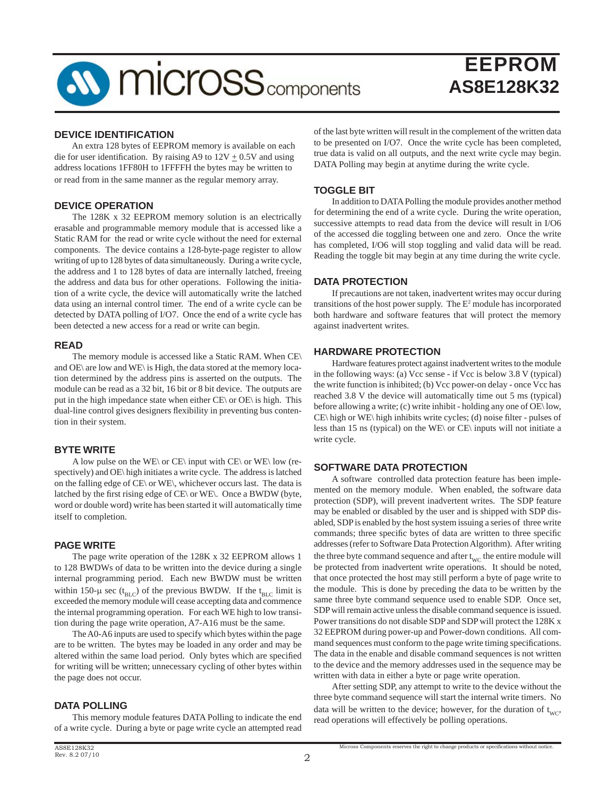

#### **DEVICE IDENTIFICATION**

 An extra 128 bytes of EEPROM memory is available on each die for user identification. By raising A9 to  $12V + 0.5V$  and using address locations 1FF80H to 1FFFFH the bytes may be written to or read from in the same manner as the regular memory array.

#### **DEVICE OPERATION**

 The 128K x 32 EEPROM memory solution is an electrically erasable and programmable memory module that is accessed like a Static RAM for the read or write cycle without the need for external components. The device contains a 128-byte-page register to allow writing of up to 128 bytes of data simultaneously. During a write cycle, the address and 1 to 128 bytes of data are internally latched, freeing the address and data bus for other operations. Following the initiation of a write cycle, the device will automatically write the latched data using an internal control timer. The end of a write cycle can be detected by DATA polling of I/O7. Once the end of a write cycle has been detected a new access for a read or write can begin.

#### **READ**

 The memory module is accessed like a Static RAM. When CE\ and OE\ are low and WE\ is High, the data stored at the memory location determined by the address pins is asserted on the outputs. The module can be read as a 32 bit, 16 bit or 8 bit device. The outputs are put in the high impedance state when either  $CE\$  or  $OE\$  is high. This dual-line control gives designers flexibility in preventing bus contention in their system.

#### **BYTE WRITE**

 A low pulse on the WE\ or CE\ input with CE\ or WE\ low (respectively) and OE\ high initiates a write cycle. The address is latched on the falling edge of CE\ or WE\, whichever occurs last. The data is latched by the first rising edge of  $CE\$  or WE\. Once a BWDW (byte, word or double word) write has been started it will automatically time itself to completion.

#### **PAGE WRITE**

 The page write operation of the 128K x 32 EEPROM allows 1 to 128 BWDWs of data to be written into the device during a single internal programming period. Each new BWDW must be written within 150- $\mu$  sec (t<sub>BLC</sub>) of the previous BWDW. If the t<sub>BLC</sub> limit is exceeded the memory module will cease accepting data and commence the internal programming operation. For each WE high to low transition during the page write operation, A7-A16 must be the same.

 The A0-A6 inputs are used to specify which bytes within the page are to be written. The bytes may be loaded in any order and may be altered within the same load period. Only bytes which are specified for writing will be written; unnecessary cycling of other bytes within the page does not occur.

#### **DATA POLLING**

 This memory module features DATA Polling to indicate the end of a write cycle. During a byte or page write cycle an attempted read

of the last byte written will result in the complement of the written data to be presented on I/O7. Once the write cycle has been completed, true data is valid on all outputs, and the next write cycle may begin. DATA Polling may begin at anytime during the write cycle.

#### **TOGGLE BIT**

 In addition to DATA Polling the module provides another method for determining the end of a write cycle. During the write operation, successive attempts to read data from the device will result in I/O6 of the accessed die toggling between one and zero. Once the write has completed, I/O6 will stop toggling and valid data will be read. Reading the toggle bit may begin at any time during the write cycle.

#### **DATA PROTECTION**

 If precautions are not taken, inadvertent writes may occur during transitions of the host power supply. The  $E<sup>2</sup>$  module has incorporated both hardware and software features that will protect the memory against inadvertent writes.

#### **HARDWARE PROTECTION**

 Hardware features protect against inadvertent writes to the module in the following ways: (a) Vcc sense - if Vcc is below 3.8 V (typical) the write function is inhibited; (b) Vcc power-on delay - once Vcc has reached 3.8 V the device will automatically time out 5 ms (typical) before allowing a write; (c) write inhibit - holding any one of OE\ low,  $CE\backslash$  high or WE $\backslash$  high inhibits write cycles; (d) noise filter - pulses of less than 15 ns (typical) on the WE\ or CE\ inputs will not initiate a write cycle.

#### **SOFTWARE DATA PROTECTION**

 A software controlled data protection feature has been implemented on the memory module. When enabled, the software data protection (SDP), will prevent inadvertent writes. The SDP feature may be enabled or disabled by the user and is shipped with SDP disabled, SDP is enabled by the host system issuing a series of three write commands; three specific bytes of data are written to three specific addresses (refer to Software Data Protection Algorithm). After writing the three byte command sequence and after  $t_{\text{wc}}$  the entire module will be protected from inadvertent write operations. It should be noted, that once protected the host may still perform a byte of page write to the module. This is done by preceding the data to be written by the same three byte command sequence used to enable SDP. Once set, SDP will remain active unless the disable command sequence is issued. Power transitions do not disable SDP and SDP will protect the 128K x 32 EEPROM during power-up and Power-down conditions. All command sequences must conform to the page write timing specifications. The data in the enable and disable command sequences is not written to the device and the memory addresses used in the sequence may be written with data in either a byte or page write operation.

 After setting SDP, any attempt to write to the device without the three byte command sequence will start the internal write timers. No data will be written to the device; however, for the duration of  $t_{\rm wc}$ , read operations will effectively be polling operations.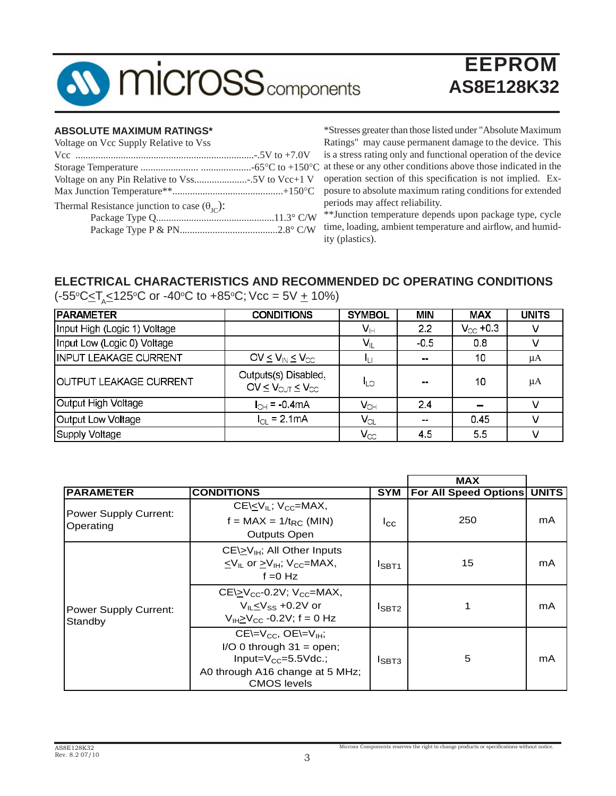

#### **ABSOLUTE MAXIMUM RATINGS\***

| Voltage on Vcc Supply Relative to Vss                        |  |
|--------------------------------------------------------------|--|
|                                                              |  |
|                                                              |  |
|                                                              |  |
|                                                              |  |
| Thermal Resistance junction to case $(\theta_{\text{IC}})$ : |  |
|                                                              |  |
|                                                              |  |

\*Stresses greater than those listed under "Absolute Maximum Ratings" may cause permanent damage to the device. This is a stress rating only and functional operation of the device at these or any other conditions above those indicated in the operation section of this specification is not implied. Exposure to absolute maximum rating conditions for extended periods may affect reliability.

\*\*Junction temperature depends upon package type, cycle time, loading, ambient temperature and airflow, and humidity (plastics).

## **ELECTRICAL CHARACTERISTICS AND RECOMMENDED DC OPERATING CONDITIONS**

| <b>PARAMETER</b>              | <b>CONDITIONS</b>                                                     | <b>SYMBOL</b>              | <b>MIN</b> | <b>MAX</b>        | <b>UNITS</b> |
|-------------------------------|-----------------------------------------------------------------------|----------------------------|------------|-------------------|--------------|
| Input High (Logic 1) Voltage  |                                                                       | Vн                         | 2.2        | $V_{\infty}$ +0.3 |              |
| Input Low (Logic 0) Voltage   |                                                                       | $V_{\rm L}$                | $-0.5$     | 0.8               |              |
| <b>INPUT LEAKAGE CURRENT</b>  | OV $\leq$ $V_{IN}$ $\leq$ $V_{CC}$                                    | կլլ                        | $\sim$     | 10                | μA           |
| <b>OUTPUT LEAKAGE CURRENT</b> | Outputs(s) Disabled,<br>OV $\leq$ $V_{\text{OUT}} \leq V_{\text{CC}}$ | <b>ILO</b>                 | m m        | 10                | μA           |
| Output High Voltage           | $I_{CH} = -0.4 \text{mA}$                                             | $V_{\text{OH}}$            | 24         | $\equiv$          |              |
| Output Low Voltage            | $I_{\Omega}$ = 2.1 mA                                                 | $\mathsf{V}_{\textsf{OL}}$ | $\sim$     | 0.45              |              |
| Supply Voltage                |                                                                       | $\mathsf{V}_{\infty}$      | 45         | 55                |              |

(-55°C<u><</u>T<sub>A</sub>≤125°C or -40°C to +85°C; Vcc = 5V <u>+</u> 10%)

|                                           |                                                                                                                                                     |                   | <b>MAX</b>            |              |
|-------------------------------------------|-----------------------------------------------------------------------------------------------------------------------------------------------------|-------------------|-----------------------|--------------|
| <b>PARAMETER</b>                          | <b>CONDITIONS</b>                                                                                                                                   | <b>SYM</b>        | For All Speed Options | <b>UNITS</b> |
| <b>Power Supply Current:</b><br>Operating | $CE\left\langle V_{\parallel}$ ; $V_{CC}$ =MAX,<br>$f = MAX = 1/t_{RC}$ (MIN)<br><b>Outputs Open</b>                                                | $I_{\rm CC}$      | 250                   | mA           |
|                                           | $CE\geq V_{\text{IH}}$ ; All Other Inputs<br>$\langle V_{\parallel}$ or $>V_{\parallel}$ ; $V_{\odot}$ = MAX,<br>$f = 0$ Hz                         | I <sub>SBT1</sub> | 15                    | mA           |
| <b>Power Supply Current:</b><br>Standby   | $CE\geq V_{CC}$ -0.2V; $V_{CC}$ =MAX,<br>$V_{II}$ < $V_{SS}$ +0.2V or<br>$V_{H}V_{CC}$ -0.2V; f = 0 Hz                                              | $I_{SBT2}$        |                       | mA           |
|                                           | $CE=V_{CC}$ , $OE=V_{IH}$ ;<br>$I/O$ 0 through 31 = open;<br>Input= $V_{CC}$ =5.5 $V$ dc.;<br>A0 through A16 change at 5 MHz;<br><b>CMOS</b> levels | $I_{SBT3}$        | 5                     | mA           |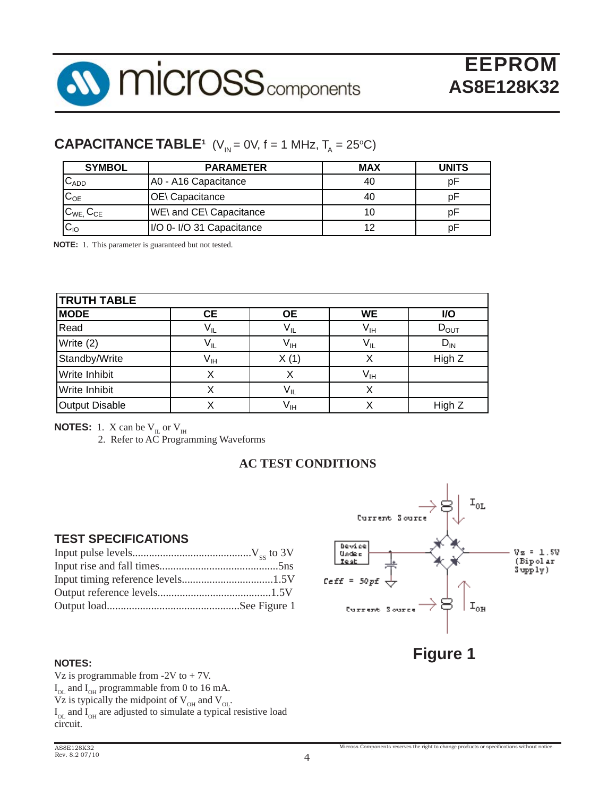

## **CAPACITANCE TABLE<sup>1</sup>** (V<sub>IN</sub> = 0V, f = 1 MHz, T<sub>A</sub> = 25°C)

| <b>SYMBOL</b>               | <b>PARAMETER</b>          | <b>MAX</b> | <b>UNITS</b> |
|-----------------------------|---------------------------|------------|--------------|
| $\mathtt{C}_{\mathtt{ADD}}$ | A0 - A16 Capacitance      | 40         | D۲           |
| $C_{OE}$                    | OE\ Capacitance           | 40         | D۲           |
| $C_{WE}$ , $C_{CE}$         | WE\ and CE\ Capacitance   | 10         | рF           |
| $C_{10}$                    | I/O 0- I/O 31 Capacitance | 12         | p⊦           |

**NOTE:** 1. This parameter is guaranteed but not tested.

| <b>TRUTH TABLE</b>    |                 |                            |                            |                  |  |  |  |  |
|-----------------------|-----------------|----------------------------|----------------------------|------------------|--|--|--|--|
| <b>MODE</b>           | <b>CE</b>       | <b>OE</b>                  | <b>WE</b>                  | I/O              |  |  |  |  |
| Read                  | $V_{IL}$        | $V_{IL}$                   | $\mathsf{V}_{\mathsf{IH}}$ | $D_{\text{OUT}}$ |  |  |  |  |
| Write (2)             | $V_{IL}$        | V <sub>IH</sub>            | $V_{IL}$                   | $D_{IN}$         |  |  |  |  |
| Standby/Write         | V <sub>IH</sub> | X(1)                       | х                          | High Z           |  |  |  |  |
| <b>Write Inhibit</b>  |                 | Χ                          | $V_{IH}$                   |                  |  |  |  |  |
| Write Inhibit         |                 | $\mathsf{V}_{\mathsf{IL}}$ | х                          |                  |  |  |  |  |
| <b>Output Disable</b> |                 | V <sub>IH</sub>            | Χ                          | High Z           |  |  |  |  |

**NOTES:** 1. X can be  $V_{IL}$  or  $V_{IH}$ 

2. Refer to AC Programming Waveforms

#### **AC TEST CONDITIONS**

#### **TEST SPECIFICATIONS**

#### **NOTES:**

Vz is programmable from -2V to + 7V.  $I_{OL}$  and  $I_{OH}$  programmable from 0 to 16 mA.  $V_{Z}$  is typically the midpoint of  $V_{OH}$  and  $V_{OL}$ .  $I_{OL}$  and  $I_{OH}$  are adjusted to simulate a typical resistive load circuit.

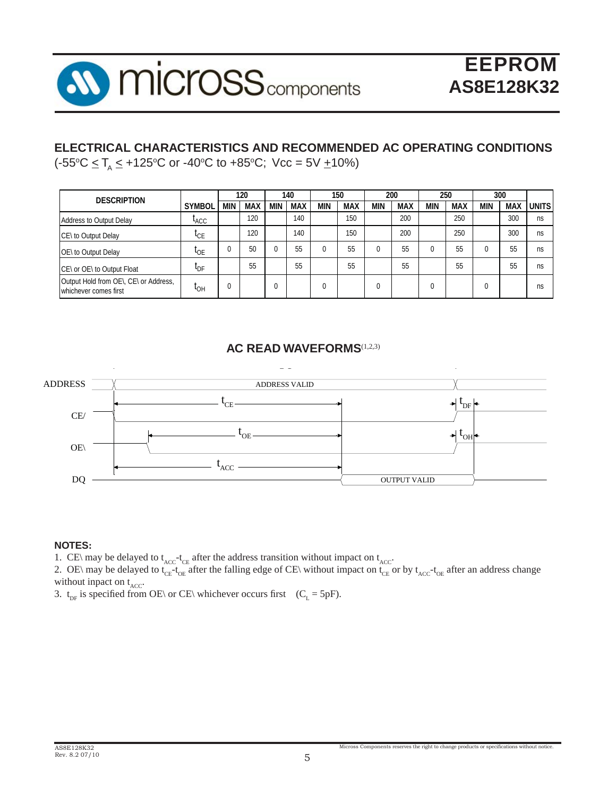

#### **ELECTRICAL CHARACTERISTICS AND RECOMMENDED AC OPERATING CONDITIONS** (-55°C <u><</u> T<sub>A</sub> ≤ +125°C or -40°C to +85°C; Vcc = 5V <u>+</u>10%)

| <b>DESCRIPTION</b>                                             |                  |            | 120        |            | 140        |            | 150        |            | 200        |            | 250        |            | 300        |              |
|----------------------------------------------------------------|------------------|------------|------------|------------|------------|------------|------------|------------|------------|------------|------------|------------|------------|--------------|
|                                                                | <b>SYMBOL</b>    | <b>MIN</b> | <b>MAX</b> | <b>MIN</b> | <b>MAX</b> | <b>MIN</b> | <b>MAX</b> | <b>MIN</b> | <b>MAX</b> | <b>MIN</b> | <b>MAX</b> | <b>MIN</b> | <b>MAX</b> | <b>UNITS</b> |
| Address to Output Delay                                        | <sup>L</sup> ACC |            | 120        |            | 140        |            | 150        |            | 200        |            | 250        |            | 300        | ns           |
| CE\ to Output Delay                                            | $I_{CE}$         |            | 120        |            | 140        |            | 150        |            | 200        |            | 250        |            | 300        | ns           |
| OE\ to Output Delay                                            | <sup>I</sup> OE  |            | 50         |            | 55         | 0          | 55         |            | 55         | 0          | 55         |            | 55         | ns           |
| CE\ or OE\ to Output Float                                     | <b>L</b> DF      |            | 55         |            | 55         |            | 55         |            | 55         |            | 55         |            | 55         | ns           |
| Output Hold from OE\, CE\ or Address,<br>whichever comes first | <b>LOH</b>       | υ          |            | 0          |            | 0          |            | 0          |            | 0          |            |            |            | ns           |

#### **AC READ WAVEFORMS**<sup>(1,2,3)</sup>



#### **NOTES:**

1. CE\ may be delayed to  $t_{\text{ACC}}$ - $t_{\text{CE}}$  after the address transition without impact on  $t_{\text{ACC}}$ .

2. OE\ may be delayed to  $t_{CE}$ - $t_{OE}$  after the falling edge of CE\ without impact on  $t_{CE}$  or by  $t_{ACC}$ - $t_{OE}$  after an address change without inpact on  $t_{ACC}$ .

3.  $t_{DF}$  is specified from OE\ or CE\ whichever occurs first (C<sub>L</sub> = 5pF).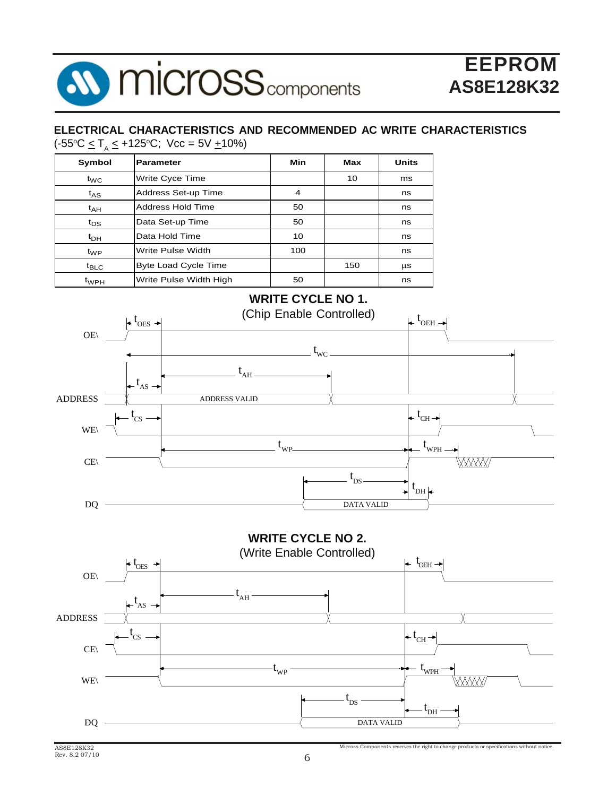

#### **ELECTRICAL CHARACTERISTICS AND RECOMMENDED AC WRITE CHARACTERISTICS**

(-55°C ≤ T<sub>A</sub> ≤ +125°C; Vcc = 5V <u>+</u>10%)

| Symbol           | <b>Parameter</b>            | Min | Max | <b>Units</b> |
|------------------|-----------------------------|-----|-----|--------------|
| $t_{\text{WC}}$  | Write Cyce Time             |     | 10  | ms           |
| $t_{AS}$         | Address Set-up Time         | 4   |     | ns           |
| $t_{AH}$         | Address Hold Time           | 50  |     | ns           |
| $t_{DS}$         | Data Set-up Time            | 50  |     | ns           |
| $t_{DH}$         | Data Hold Time              | 10  |     | ns           |
| $t_{WP}$         | Write Pulse Width           | 100 |     | ns           |
| $t_{\text{BLC}}$ | <b>Byte Load Cycle Time</b> |     | 150 | μs           |
| $t_{WPH}$        | Write Pulse Width High      | 50  |     | ns           |

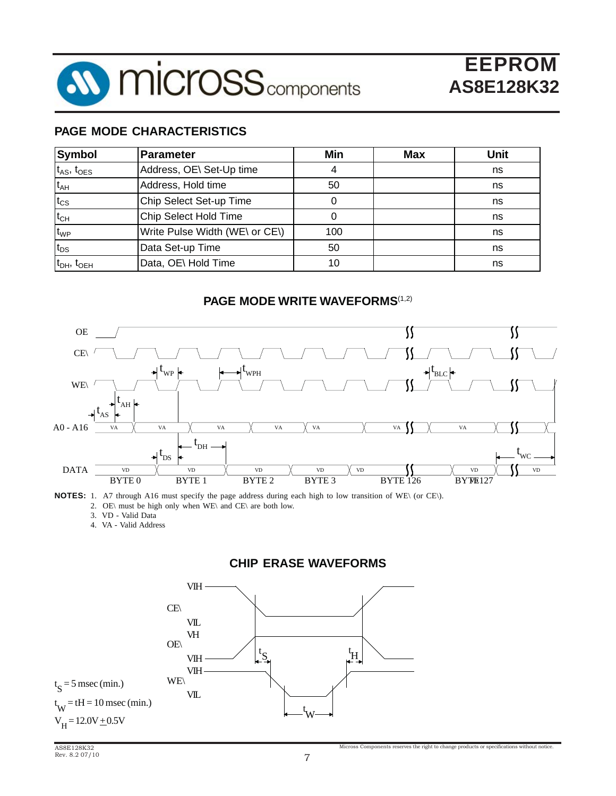

#### **PAGE MODE CHARACTERISTICS**

| <b>Symbol</b>        | Parameter                      | Min | <b>Max</b> | <b>Unit</b> |
|----------------------|--------------------------------|-----|------------|-------------|
| $t_{AS}$ , $t_{OES}$ | Address, OE\ Set-Up time       |     |            | ns          |
| $t_{AH}$             | Address, Hold time             | 50  |            | ns          |
| $t_{\text{CS}}$      | Chip Select Set-up Time        |     |            | ns          |
| $t_{CH}$             | Chip Select Hold Time          |     |            | ns          |
| $t_{WP}$             | Write Pulse Width (WE\ or CE\) | 100 |            | ns          |
| $t_{DS}$             | Data Set-up Time               | 50  |            | ns          |
| $t_{DH}$ , $t_{OEH}$ | Data, OE\ Hold Time            | 10  |            | ns          |

#### **PAGE MODE WRITE WAVEFORMS**(1,2)



**NOTES:** 1. A7 through A16 must specify the page address during each high to low transition of WE\ (or CE\).

2. OE\ must be high only when WE\ and CE\ are both low.

3. VD - Valid Data

4. VA - Valid Address

#### **CHIP ERASE WAVEFORMS**

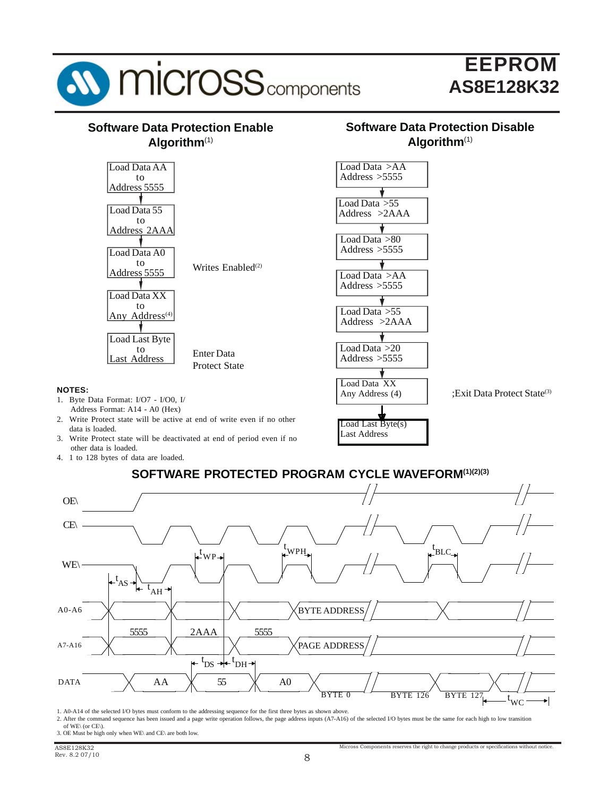

#### **SOFTWARE PROTECTED PROGRAM CYCLE WAVEFORM(1)(2)(3)**



1. A0-A14 of the selected I/O bytes must conform to the addressing sequence for the first three bytes as shown above.

2. After the command sequence has been issued and a page write operation follows, the page address inputs (A7-A16) of the selected I/O bytes must be the same for each high to low transition of WE\ (or CE\).

3. OE Must be high only when WE\ and CE\ are both low.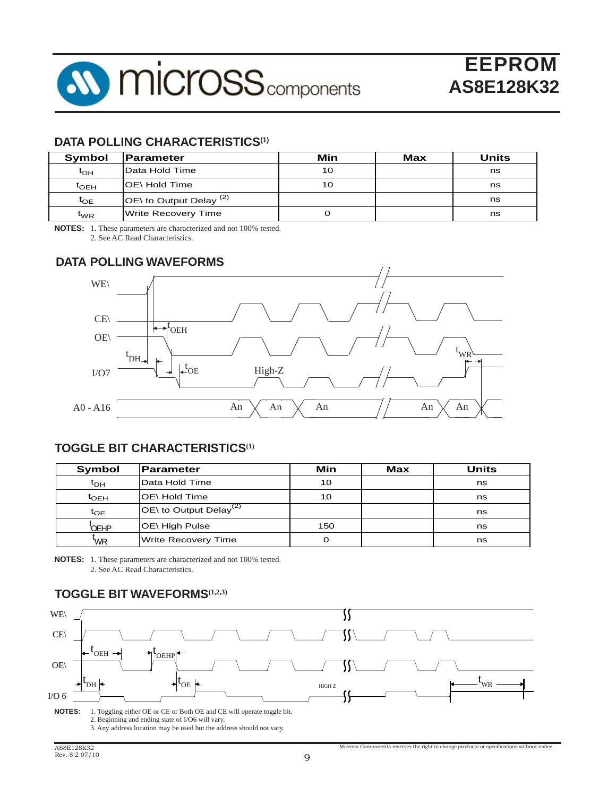

#### **DATA POLLING CHARACTERISTICS(1)**

| Symbol                        | <b>IParameter</b>                       | Min | Max | Units |
|-------------------------------|-----------------------------------------|-----|-----|-------|
| t <sub>DH</sub>               | Data Hold Time                          | 10  |     | ns    |
| $\mathfrak{r}_{\mathsf{OEH}}$ | IOE\ Hold Time                          | 10  |     | ns    |
| $t_{OE}$                      | $\overline{O}$ to Output Delay $^{(2)}$ |     |     | ns    |
| $\mathsf{t}_{\mathsf{WR}}$    | Write Recovery Time                     |     |     | ns    |

**NOTES:** 1. These parameters are characterized and not 100% tested.

2. See AC Read Characteristics.

#### **DATA POLLING WAVEFORMS**



#### **TOGGLE BIT CHARACTERISTICS(1)**

| <b>Symbol</b>   | <b>Parameter</b>                    | Min | <b>Max</b> | Units |
|-----------------|-------------------------------------|-----|------------|-------|
| t <sub>DН</sub> | Data Hold Time                      | 10  |            | ns    |
| $t_{\rm OEH}$   | OE\ Hold Time                       | 10  |            | ns    |
| $t_{OE}$        | IOE\ to Output Delay <sup>(2)</sup> |     |            | ns    |
| OEHP            | OE\ High Pulse                      | 150 |            | ns    |
| 'WR             | <b>Write Recovery Time</b>          | Ω   |            | ns    |

**NOTES:** 1. These parameters are characterized and not 100% tested. 2. See AC Read Characteristics.

#### **TOGGLE BIT WAVEFORMS(1,2,3)**

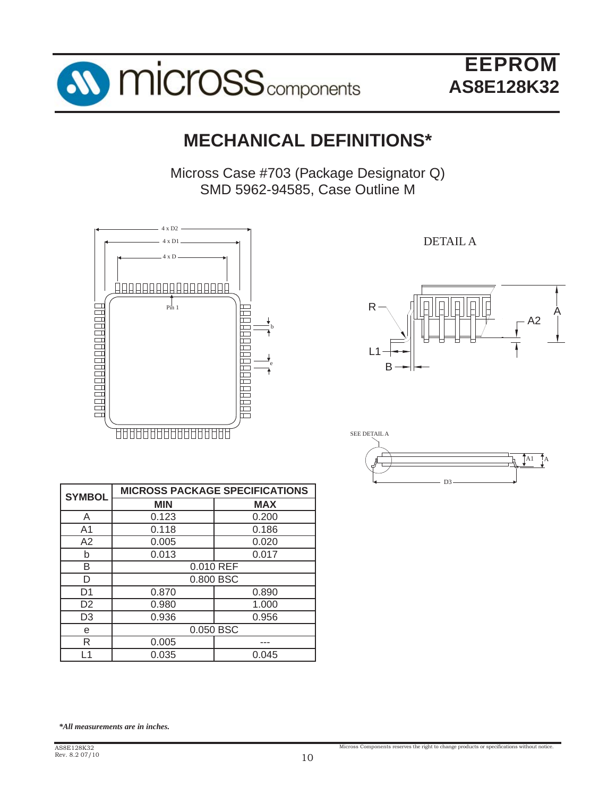

## **MECHANICAL DEFINITIONS\***

Micross Case #703 (Package Designator Q) SMD 5962-94585, Case Outline M



DETAIL A





| <b>SYMBOL</b>  | <b>MICROSS PACKAGE SPECIFICATIONS</b> |            |  |
|----------------|---------------------------------------|------------|--|
|                | <b>MIN</b>                            | <b>MAX</b> |  |
| A              | 0.123                                 | 0.200      |  |
| A <sub>1</sub> | 0.118                                 | 0.186      |  |
| A2             | 0.005                                 | 0.020      |  |
| b              | 0.013                                 | 0.017      |  |
| В              | 0.010 REF                             |            |  |
| D              | 0.800 BSC                             |            |  |
| D <sub>1</sub> | 0.870                                 | 0.890      |  |
| D <sub>2</sub> | 0.980                                 | 1.000      |  |
| D <sub>3</sub> | 0.936                                 | 0.956      |  |
| е              | 0.050 BSC                             |            |  |
| R              | 0.005                                 |            |  |
| l 1            | 0.035                                 | 0.045      |  |

*\*All measurements are in inches.*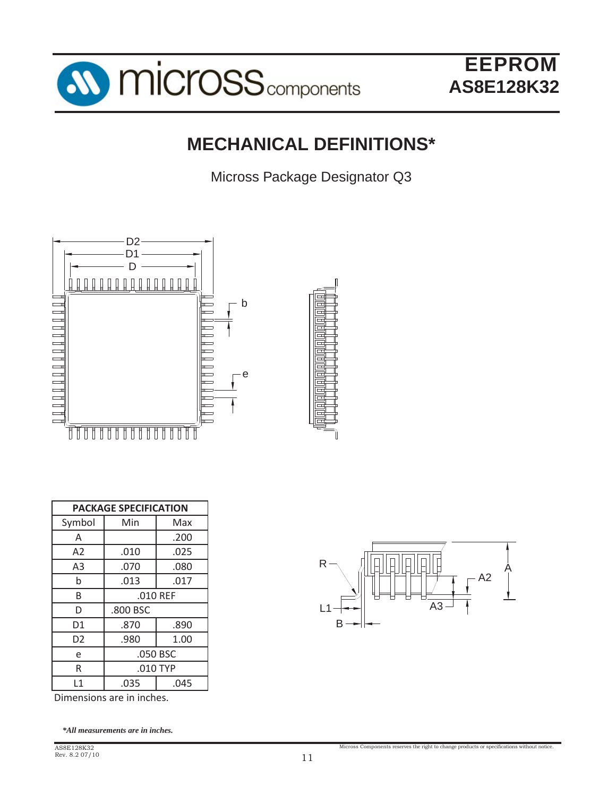

## **MECHANICAL DEFINITIONS\***

Micross Package Designator Q3



| <b>PACKAGE SPECIFICATION</b> |            |      |  |
|------------------------------|------------|------|--|
| Symbol                       | Min        | Max  |  |
| A                            |            | .200 |  |
| A <sub>2</sub>               | .010       | .025 |  |
| A <sub>3</sub>               | .070       | .080 |  |
| b                            | .013       | .017 |  |
| B                            | .010 REF   |      |  |
| D                            | .800 BSC   |      |  |
| D1                           | .870       | .890 |  |
| D <sub>2</sub>               | .980       | 1.00 |  |
| e                            | .050 BSC   |      |  |
| R                            | $.010$ TYP |      |  |
| $\mathbf{1}$                 | .035       | .045 |  |

Dimensions are in inches.

*\*All measurements are in inches.*

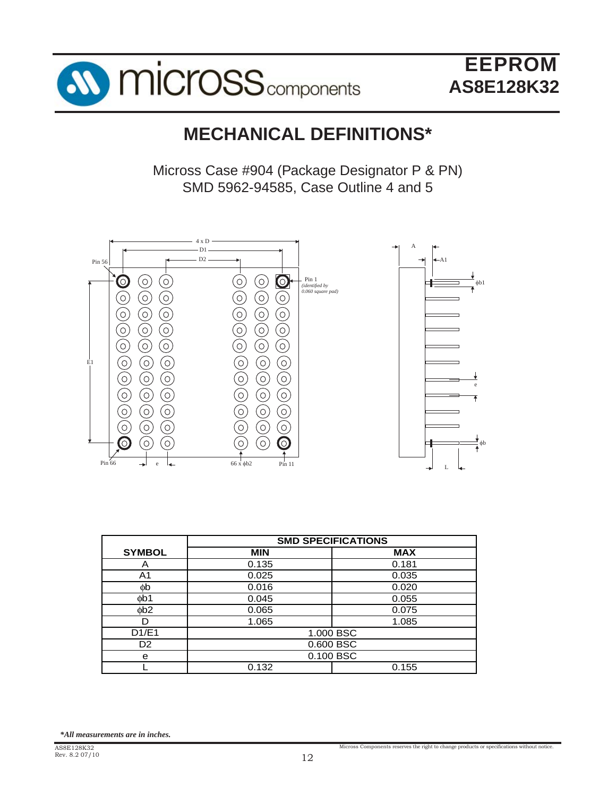



## **MECHANICAL DEFINITIONS\***

Micross Case #904 (Package Designator P & PN) SMD 5962-94585, Case Outline 4 and 5



|                | <b>SMD SPECIFICATIONS</b> |            |  |
|----------------|---------------------------|------------|--|
| <b>SYMBOL</b>  | <b>MIN</b>                | <b>MAX</b> |  |
| A              | 0.135                     | 0.181      |  |
| A <sub>1</sub> | 0.025                     | 0.035      |  |
| фb             | 0.016                     | 0.020      |  |
| фb1            | 0.045                     | 0.055      |  |
| ob2            | 0.065                     | 0.075      |  |
|                | 1.065                     | 1.085      |  |
| D1/E1          | 1.000 BSC                 |            |  |
| D <sub>2</sub> | 0.600 BSC                 |            |  |
| e              | 0.100 BSC                 |            |  |
|                | 0.132                     | 0.155      |  |

*<sup>\*</sup>All measurements are in inches.*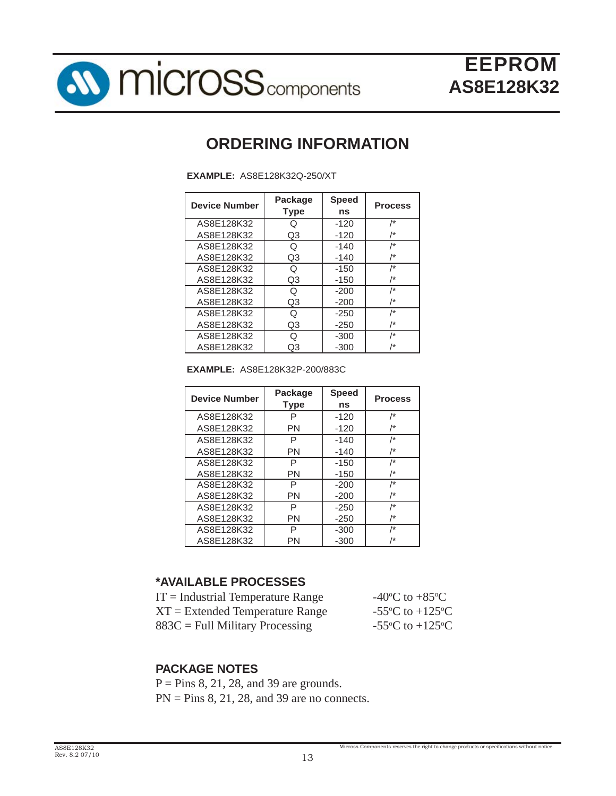

## **ORDERING INFORMATION**

**EXAMPLE:** AS8E128K32Q-250/XT

| <b>Device Number</b> | Package<br><b>Type</b> | <b>Speed</b><br>ns | <b>Process</b> |
|----------------------|------------------------|--------------------|----------------|
| AS8E128K32           | Q                      | $-120$             | $\prime^*$     |
| AS8E128K32           | Q3                     | $-120$             | /*             |
| AS8E128K32           | Q                      | $-140$             | /*             |
| AS8E128K32           | Q3                     | $-140$             | /*             |
| AS8E128K32           | Q                      | $-150$             | /*             |
| AS8E128K32           | Q3                     | $-150$             | /*             |
| AS8E128K32           | Q                      | $-200$             | $\prime^*$     |
| AS8E128K32           | Q3                     | $-200$             | /*             |
| AS8E128K32           | Q                      | $-250$             | /*             |
| AS8E128K32           | Q3                     | $-250$             | /*             |
| AS8E128K32           | Q                      | $-300$             | $\sqrt{*}$     |
| AS8E128K32           | Q3                     | $-300$             | /*             |

**EXAMPLE:** AS8E128K32P-200/883C

| <b>Device Number</b> | Package<br><b>Type</b> | <b>Speed</b><br>ns | <b>Process</b>  |
|----------------------|------------------------|--------------------|-----------------|
| AS8E128K32           | P                      | $-120$             | /*              |
| AS8E128K32           | PN                     | $-120$             | /*              |
| AS8E128K32           | Р                      | $-140$             | /*              |
| AS8E128K32           | PN                     | $-140$             | /*              |
| AS8E128K32           | Р                      | $-150$             | /*              |
| AS8E128K32           | PN                     | -150               | /*              |
| AS8E128K32           | P                      | $-200$             | /*              |
| AS8E128K32           | PN                     | $-200$             | /*              |
| AS8E128K32           | P                      | $-250$             | /*              |
| AS8E128K32           | PN                     | $-250$             | $\overline{1*}$ |
| AS8E128K32           | P                      | $-300$             | $\overline{1*}$ |
| AS8E128K32           | PN                     | $-300$             | /*              |

#### **\*AVAILABLE PROCESSES**

| $IT = Industrial Temperature Range$ | -40 $^{\circ}$ C to +85 $^{\circ}$ C          |
|-------------------------------------|-----------------------------------------------|
| $XT = Extended Temperature Range$   | -55 $\rm{^{\circ}C}$ to +125 $\rm{^{\circ}C}$ |
| $883C =$ Full Military Processing   | -55 $\rm{^{\circ}C}$ to +125 $\rm{^{\circ}C}$ |

#### **PACKAGE NOTES**

 $P = Pins 8, 21, 28, and 39 are grounds.$  $PN = Pins 8, 21, 28, and 39 are no connects.$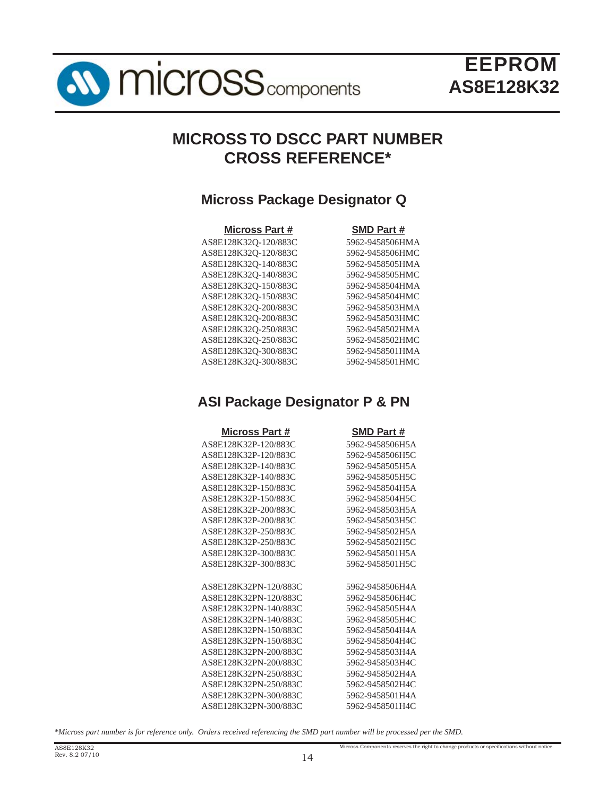

## **MICROSS TO DSCC PART NUMBER CROSS REFERENCE\***

### **Micross Package Designator Q**

#### **Micross Part # SMD Part #** AS8E128K32Q-120/883C 5962-9458506HMA AS8E128K32Q-120/883C 5962-9458506HMC AS8E128K32Q-140/883C 5962-9458505HMA AS8E128K32Q-140/883C 5962-9458505HMC AS8E128K32Q-150/883C 5962-9458504HMA AS8E128K32Q-150/883C 5962-9458504HMC AS8E128K32Q-200/883C 5962-9458503HMA AS8E128K32Q-200/883C 5962-9458503HMC AS8E128K32Q-250/883C 5962-9458502HMA AS8E128K32Q-250/883C 5962-9458502HMC AS8E128K32Q-300/883C 5962-9458501HMA AS8E128K32Q-300/883C 5962-9458501HMC

## **ASI Package Designator P & PN**

| <b>Micross Part #</b> | SMD Part #      |
|-----------------------|-----------------|
| AS8E128K32P-120/883C  | 5962-9458506H5A |
| AS8E128K32P-120/883C  | 5962-9458506H5C |
| AS8E128K32P-140/883C  | 5962-9458505H5A |
| AS8E128K32P-140/883C  | 5962-9458505H5C |
| AS8E128K32P-150/883C  | 5962-9458504H5A |
| AS8E128K32P-150/883C  | 5962-9458504H5C |
| AS8E128K32P-200/883C  | 5962-9458503H5A |
| AS8E128K32P-200/883C  | 5962-9458503H5C |
| AS8E128K32P-250/883C  | 5962-9458502H5A |
| AS8E128K32P-250/883C  | 5962-9458502H5C |
| AS8E128K32P-300/883C  | 5962-9458501H5A |
| AS8E128K32P-300/883C  | 5962-9458501H5C |
|                       |                 |
| AS8E128K32PN-120/883C | 5962-9458506H4A |
| AS8E128K32PN-120/883C | 5962-9458506H4C |
| AS8E128K32PN-140/883C | 5962-9458505H4A |
| AS8E128K32PN-140/883C | 5962-9458505H4C |
| AS8E128K32PN-150/883C | 5962-9458504H4A |
| AS8E128K32PN-150/883C | 5962-9458504H4C |
| AS8E128K32PN-200/883C | 5962-9458503H4A |
| AS8E128K32PN-200/883C | 5962-9458503H4C |
| AS8E128K32PN-250/883C | 5962-9458502H4A |
| AS8E128K32PN-250/883C | 5962-9458502H4C |
| AS8E128K32PN-300/883C | 5962-9458501H4A |
| AS8E128K32PN-300/883C | 5962-9458501H4C |

*\*Micross part number is for reference only. Orders received referencing the SMD part number will be processed per the SMD.*